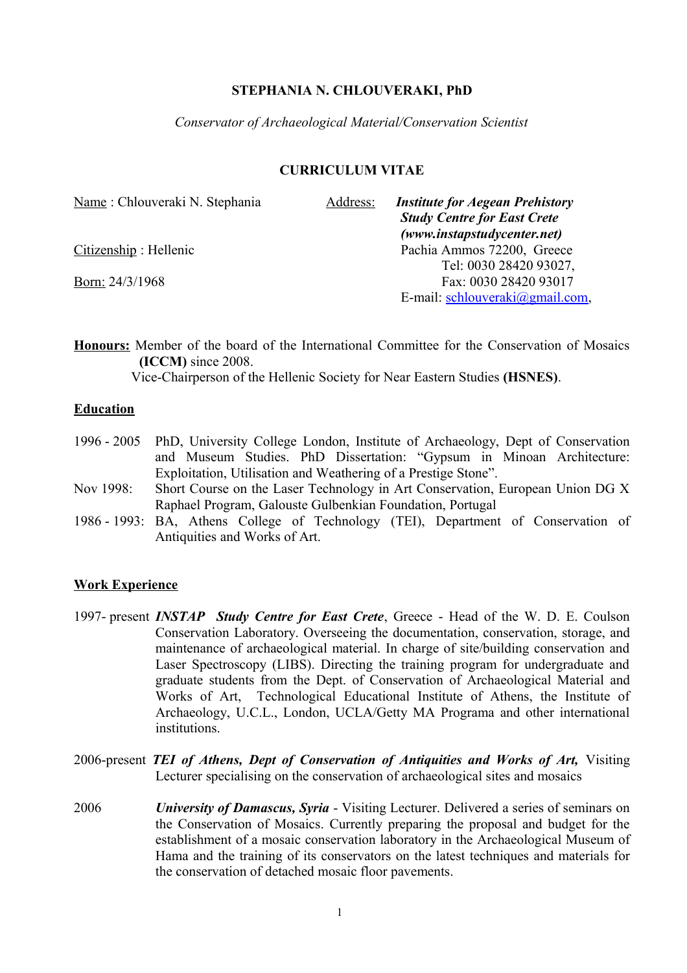## **STEPHANIA N. CHLOUVERAKI, PhD**

*Conservator of Archaeological Material/Conservation Scientist*

## **CURRICULUM VITAE**

| Name: Chlouveraki N. Stephania | Address: | <b>Institute for Aegean Prehistory</b><br><b>Study Centre for East Crete</b> |
|--------------------------------|----------|------------------------------------------------------------------------------|
|                                |          | (www.instapstudycenter.net)                                                  |
| Citizenship: Hellenic          |          | Pachia Ammos 72200, Greece                                                   |
|                                |          | Tel: 0030 28420 93027,                                                       |
| Born: 24/3/1968                |          | Fax: 0030 28420 93017                                                        |
|                                |          | E-mail: schlouveraki@gmail.com,                                              |

**Honours:** Member of the board of the International Committee for the Conservation of Mosaics **(ICCM)** since 2008.

Vice-Chairperson of the Hellenic Society for Near Eastern Studies **(HSNES)**.

## **Education**

| 1996 - 2005 PhD, University College London, Institute of Archaeology, Dept of Conservation |
|--------------------------------------------------------------------------------------------|
| and Museum Studies. PhD Dissertation: "Gypsum in Minoan Architecture:                      |
| Exploitation, Utilisation and Weathering of a Prestige Stone".                             |

- Nov 1998: Short Course on the Laser Technology in Art Conservation, European Union DG X Raphael Program, Galouste Gulbenkian Foundation, Portugal
- 1986 1993: BA, Athens College of Technology (TEI), Department of Conservation of Antiquities and Works of Art.

## **Work Experience**

- 1997- present *INSTAP Study Centre for East Crete*, Greece Head of the W. D. E. Coulson Conservation Laboratory. Overseeing the documentation, conservation, storage, and maintenance of archaeological material. In charge of site/building conservation and Laser Spectroscopy (LIBS). Directing the training program for undergraduate and graduate students from the Dept. of Conservation of Archaeological Material and Works of Art, Technological Educational Institute of Athens, the Institute of Archaeology, U.C.L., London, UCLA/Getty MA Programa and other international institutions.
- 2006-present *TEI of Athens, Dept of Conservation of Antiquities and Works of Art,* Visiting Lecturer specialising on the conservation of archaeological sites and mosaics
- 2006 *University of Damascus, Syria* Visiting Lecturer. Delivered a series of seminars on the Conservation of Mosaics. Currently preparing the proposal and budget for the establishment of a mosaic conservation laboratory in the Archaeological Museum of Hama and the training of its conservators on the latest techniques and materials for the conservation of detached mosaic floor pavements.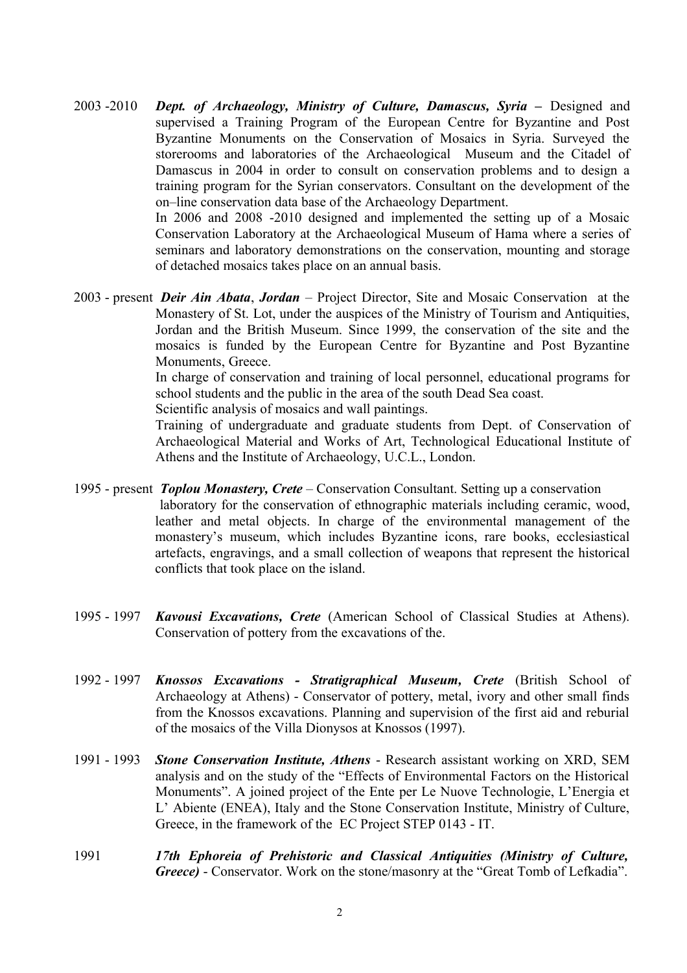2003 -2010 *Dept. of Archaeology, Ministry of Culture, Damascus, Syria –* Designed and supervised a Training Program of the European Centre for Byzantine and Post Byzantine Monuments on the Conservation of Mosaics in Syria. Surveyed the storerooms and laboratories of the Archaeological Museum and the Citadel of Damascus in 2004 in order to consult on conservation problems and to design a training program for the Syrian conservators. Consultant on the development of the on–line conservation data base of the Archaeology Department.

> In 2006 and 2008 -2010 designed and implemented the setting up of a Mosaic Conservation Laboratory at the Archaeological Museum of Hama where a series of seminars and laboratory demonstrations on the conservation, mounting and storage of detached mosaics takes place on an annual basis.

2003 - present *Deir Ain Abata*, *Jordan* – Project Director, Site and Mosaic Conservation at the Monastery of St. Lot, under the auspices of the Ministry of Tourism and Antiquities, Jordan and the British Museum. Since 1999, the conservation of the site and the mosaics is funded by the European Centre for Byzantine and Post Byzantine Monuments, Greece.

> In charge of conservation and training of local personnel, educational programs for school students and the public in the area of the south Dead Sea coast.

Scientific analysis of mosaics and wall paintings.

Training of undergraduate and graduate students from Dept. of Conservation of Archaeological Material and Works of Art, Technological Educational Institute of Athens and the Institute of Archaeology, U.C.L., London.

- 1995 present *Toplou Monastery, Crete* Conservation Consultant. Setting up a conservation laboratory for the conservation of ethnographic materials including ceramic, wood, leather and metal objects. In charge of the environmental management of the monastery's museum, which includes Byzantine icons, rare books, ecclesiastical artefacts, engravings, and a small collection of weapons that represent the historical conflicts that took place on the island.
- 1995 1997 *Kavousi Excavations, Crete* (American School of Classical Studies at Athens). Conservation of pottery from the excavations of the.
- 1992 1997 *Knossos Excavations Stratigraphical Museum, Crete* (British School of Archaeology at Athens) - Conservator of pottery, metal, ivory and other small finds from the Knossos excavations. Planning and supervision of the first aid and reburial of the mosaics of the Villa Dionysos at Knossos (1997).
- 1991 1993 *Stone Conservation Institute, Athens* Research assistant working on XRD, SEM analysis and on the study of the "Effects of Environmental Factors on the Historical Monuments". A joined project of the Ente per Le Nuove Technologie, L'Energia et L' Abiente (ENEA), Italy and the Stone Conservation Institute, Ministry of Culture, Greece, in the framework of the EC Project STEP 0143 - IT.
- 1991 *17th Ephoreia of Prehistoric and Classical Antiquities (Ministry of Culture, Greece)* - Conservator. Work on the stone/masonry at the "Great Tomb of Lefkadia".